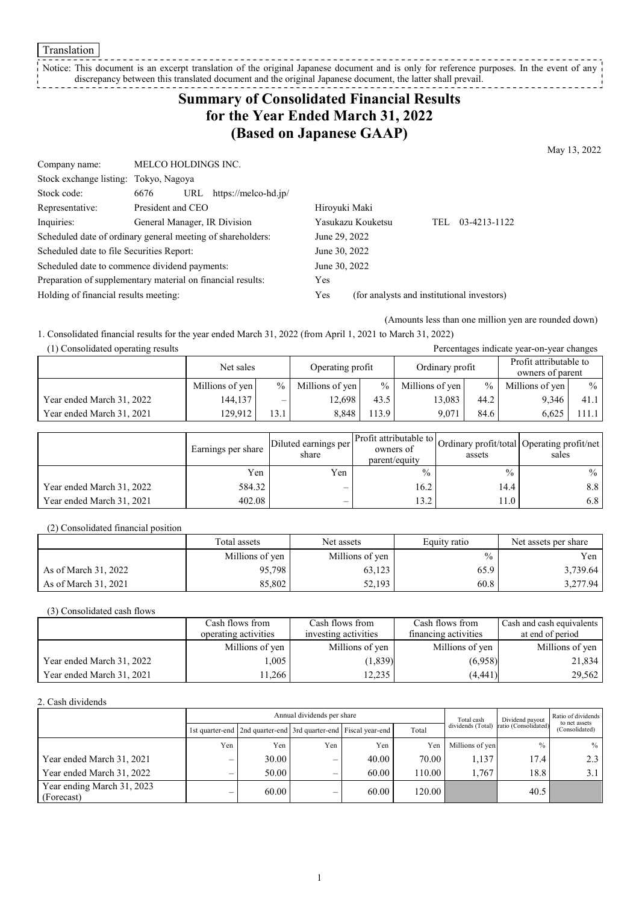**Translation** 

#### Notice: This document is an excerpt translation of the original Japanese document and is only for reference purposes. In the event of any discrepancy between this translated document and the original Japanese document, the latter shall prevail.

# **Summary of Consolidated Financial Results for the Year Ended March 31, 2022 (Based on Japanese GAAP)**

May 13, 2022

| Company name:                                               | <b>MELCO HOLDINGS INC.</b>   |                             |                                            |                   |            |              |
|-------------------------------------------------------------|------------------------------|-----------------------------|--------------------------------------------|-------------------|------------|--------------|
| Stock exchange listing: Tokyo, Nagoya                       |                              |                             |                                            |                   |            |              |
| Stock code:                                                 | 6676                         | URL<br>https://melco-hd.jp/ |                                            |                   |            |              |
| Representative:                                             | President and CEO            |                             | Hiroyuki Maki                              |                   |            |              |
| Inquiries:                                                  | General Manager, IR Division |                             |                                            | Yasukazu Kouketsu | <b>TEL</b> | 03-4213-1122 |
| Scheduled date of ordinary general meeting of shareholders: |                              |                             | June 29, 2022                              |                   |            |              |
| Scheduled date to file Securities Report:                   |                              |                             | June 30, 2022                              |                   |            |              |
| Scheduled date to commence dividend payments:               |                              |                             | June 30, 2022                              |                   |            |              |
| Preparation of supplementary material on financial results: |                              | Yes                         |                                            |                   |            |              |
| Holding of financial results meeting:                       |                              | Yes                         | (for analysts and institutional investors) |                   |            |              |

(Amounts less than one million yen are rounded down)

Percentages indicate year-on-year changes

1. Consolidated financial results for the year ended March 31, 2022 (from April 1, 2021 to March 31, 2022)

| (1) Consolidated operating results |  |
|------------------------------------|--|
|------------------------------------|--|

|                           | Net sales       |                 | Operating profit |      | Ordinary profit |               | Profit attributable to<br>owners of parent |       |
|---------------------------|-----------------|-----------------|------------------|------|-----------------|---------------|--------------------------------------------|-------|
|                           | Millions of yen | $\frac{0}{0}$ 1 | Millions of yen  | $\%$ | Millions of yen | $\frac{0}{0}$ | Millions of yen                            | $\%$  |
| Year ended March 31, 2022 | 144,137         | —               | 12.698           | 43.5 | 13.083          | 44.2          | 9.346                                      | 41.1  |
| Year ended March 31, 2021 | 129,912         | 13.1            | 8.848            | 13.9 | 9.071           | 84.6          | 6.625                                      | .11.1 |

|                           | Earnings per share | Diluted earnings per l'<br>share | owners of<br>parent/equity | assets | Arr Profit attributable to Ordinary profit/total Operating profit/net<br>sales |
|---------------------------|--------------------|----------------------------------|----------------------------|--------|--------------------------------------------------------------------------------|
|                           | Yen                | Yen                              | $\frac{0}{0}$              | $\%$   | $\frac{0}{0}$                                                                  |
| Year ended March 31, 2022 | 584.32             | –                                | 16.2                       | 14.4   | 8.8                                                                            |
| Year ended March 31, 2021 | 402.08             | —                                | 13.2                       | 11.0   | 6.8                                                                            |

(2) Consolidated financial position

|                      | Total assets    | Net assets      | Equity ratio  | Net assets per share |
|----------------------|-----------------|-----------------|---------------|----------------------|
|                      | Millions of yen | Millions of yen | $\frac{0}{0}$ | Yen l                |
| As of March 31, 2022 | 95,798          | 63,123          | 65.9          | 3,739.64             |
| As of March 31, 2021 | 85.802          | 52,193          | 60.8          | 3,277.94             |

(3) Consolidated cash flows

|                           | Cash flows from      | Cash flows from      | Cash flows from      | Cash and cash equivalents |
|---------------------------|----------------------|----------------------|----------------------|---------------------------|
|                           | operating activities | investing activities | financing activities | at end of period          |
|                           | Millions of yen      | Millions of yen      | Millions of yen      | Millions of yen           |
| Year ended March 31, 2022 | 005                  | (1,839)              | (6,958)              | 21,834                    |
| Year ended March 31, 2021 | 1.266                | 12.235               | (4, 441)             | 29,562                    |

2. Cash dividends

|                                          |     | Annual dividends per share                                      |     |       |          |                   | Dividend payout      | Ratio of dividends<br>to net assets |  |
|------------------------------------------|-----|-----------------------------------------------------------------|-----|-------|----------|-------------------|----------------------|-------------------------------------|--|
|                                          |     | 1st quarter-end 2nd quarter-end 3rd quarter-end Fiscal year-end |     |       | Total    | dividends (Total) | ratio (Consolidated) | (Consolidated)                      |  |
|                                          | Yen | Yen                                                             | Yen | Yen   | Yen      | Millions of yen   | $\frac{0}{0}$        | $%$                                 |  |
| Year ended March 31, 2021                |     | 30.00                                                           | –   | 40.00 | 70.00    | 1.137             | 17.4                 | 2.3                                 |  |
| Year ended March 31, 2022                |     | 50.00                                                           |     | 60.00 | 110.00 I | 1.767             | 18.8                 | 3.1                                 |  |
| Year ending March 31, 2023<br>(Forecast) |     | 60.00                                                           | –   | 60.00 | 120.00   |                   | 40.5                 |                                     |  |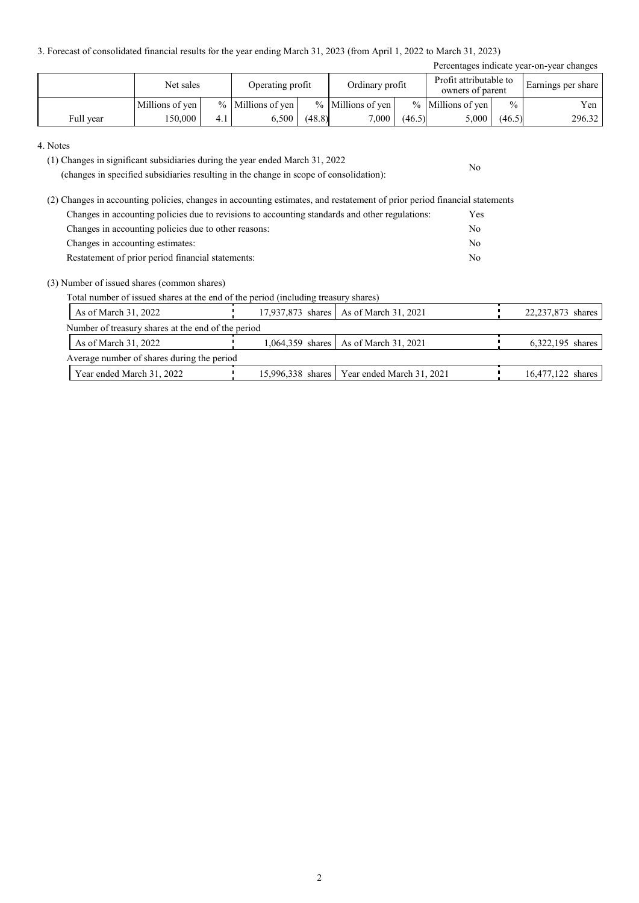3. Forecast of consolidated financial results for the year ending March 31, 2023 (from April 1, 2022 to March 31, 2023)

| Percentages indicate year-on-year changes |                 |     |                     |        |                     |        |                                            |               |                    |
|-------------------------------------------|-----------------|-----|---------------------|--------|---------------------|--------|--------------------------------------------|---------------|--------------------|
|                                           | Net sales       |     | Operating profit    |        | Ordinary profit     |        | Profit attributable to<br>owners of parent |               | Earnings per share |
|                                           | Millions of yen |     | $%$ Millions of yen |        | $%$ Millions of yen |        | $%$ Millions of yen                        | $\frac{0}{0}$ | Yen                |
| Full year                                 | 150.000         | 4.1 | 6.500               | (48.8) | 7,000               | (46.5) | 5,000                                      | (46.5)        | 296.32             |

No

#### 4. Notes

(1) Changes in significant subsidiaries during the year ended March 31, 2022

(changes in specified subsidiaries resulting in the change in scope of consolidation):

(2) Changes in accounting policies, changes in accounting estimates, and restatement of prior period financial statements Changes in accounting policies due to revisions to accounting standards and other regulations: Yes Changes in accounting policies due to other reasons: No Changes in accounting estimates: No Restatement of prior period financial statements: No

### (3) Number of issued shares (common shares)

Total number of issued shares at the end of the period (including treasury shares)

| As of March 31, 2022                               |  |  | 17,937,873 shares   As of March 31, 2021      |  | 22,237,873 shares |  |  |  |  |
|----------------------------------------------------|--|--|-----------------------------------------------|--|-------------------|--|--|--|--|
| Number of treasury shares at the end of the period |  |  |                                               |  |                   |  |  |  |  |
| As of March 31, 2022                               |  |  | 1,064,359 shares   As of March 31, 2021       |  | 6,322,195 shares  |  |  |  |  |
| Average number of shares during the period         |  |  |                                               |  |                   |  |  |  |  |
| Year ended March 31, 2022                          |  |  | 15,996,338 shares   Year ended March 31, 2021 |  | 16,477,122 shares |  |  |  |  |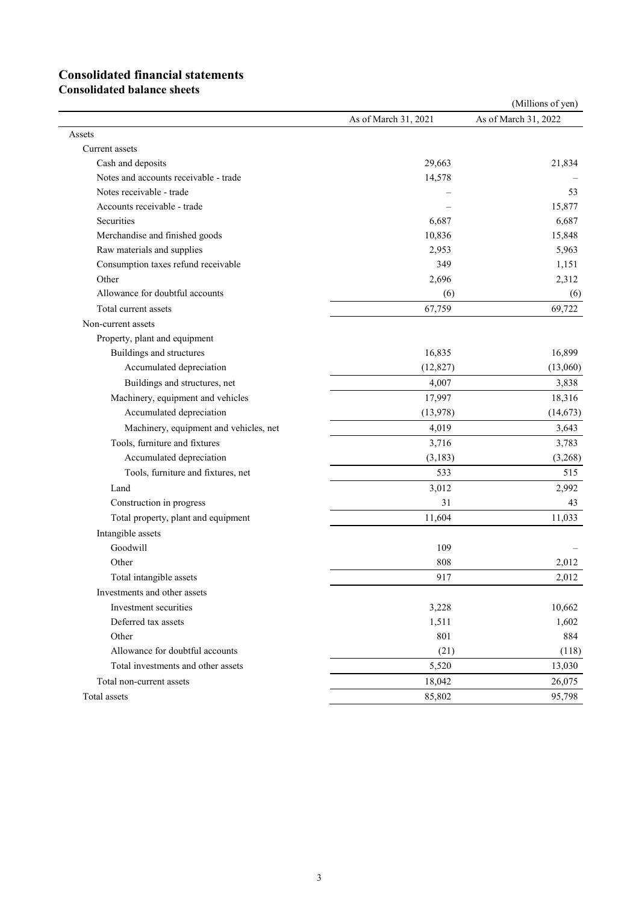# **Consolidated financial statements**

**Consolidated balance sheets**

|                                        |                      | (Millions of yen)    |
|----------------------------------------|----------------------|----------------------|
|                                        | As of March 31, 2021 | As of March 31, 2022 |
| Assets                                 |                      |                      |
| Current assets                         |                      |                      |
| Cash and deposits                      | 29,663               | 21,834               |
| Notes and accounts receivable - trade  | 14,578               |                      |
| Notes receivable - trade               |                      | 53                   |
| Accounts receivable - trade            |                      | 15,877               |
| Securities                             | 6,687                | 6,687                |
| Merchandise and finished goods         | 10,836               | 15,848               |
| Raw materials and supplies             | 2,953                | 5,963                |
| Consumption taxes refund receivable    | 349                  | 1,151                |
| Other                                  | 2,696                | 2,312                |
| Allowance for doubtful accounts        | (6)                  | (6)                  |
| Total current assets                   | 67,759               | 69,722               |
| Non-current assets                     |                      |                      |
| Property, plant and equipment          |                      |                      |
| Buildings and structures               | 16,835               | 16,899               |
| Accumulated depreciation               | (12, 827)            | (13,060)             |
| Buildings and structures, net          | 4,007                | 3,838                |
| Machinery, equipment and vehicles      | 17,997               | 18,316               |
| Accumulated depreciation               | (13,978)             | (14, 673)            |
| Machinery, equipment and vehicles, net | 4,019                | 3,643                |
| Tools, furniture and fixtures          | 3,716                | 3,783                |
| Accumulated depreciation               | (3, 183)             | (3,268)              |
| Tools, furniture and fixtures, net     | 533                  | 515                  |
| Land                                   | 3,012                | 2,992                |
| Construction in progress               | 31                   | 43                   |
| Total property, plant and equipment    | 11,604               | 11,033               |
| Intangible assets                      |                      |                      |
| Goodwill                               | 109                  |                      |
| Other                                  | 808                  | 2,012                |
| Total intangible assets                | 917                  | 2,012                |
| Investments and other assets           |                      |                      |
| Investment securities                  | 3,228                | 10,662               |
| Deferred tax assets                    | 1,511                | 1,602                |
| Other                                  | 801                  | 884                  |
| Allowance for doubtful accounts        | (21)                 | (118)                |
| Total investments and other assets     | 5,520                | 13,030               |
| Total non-current assets               | 18,042               | 26,075               |
| Total assets                           | 85,802               | 95,798               |
|                                        |                      |                      |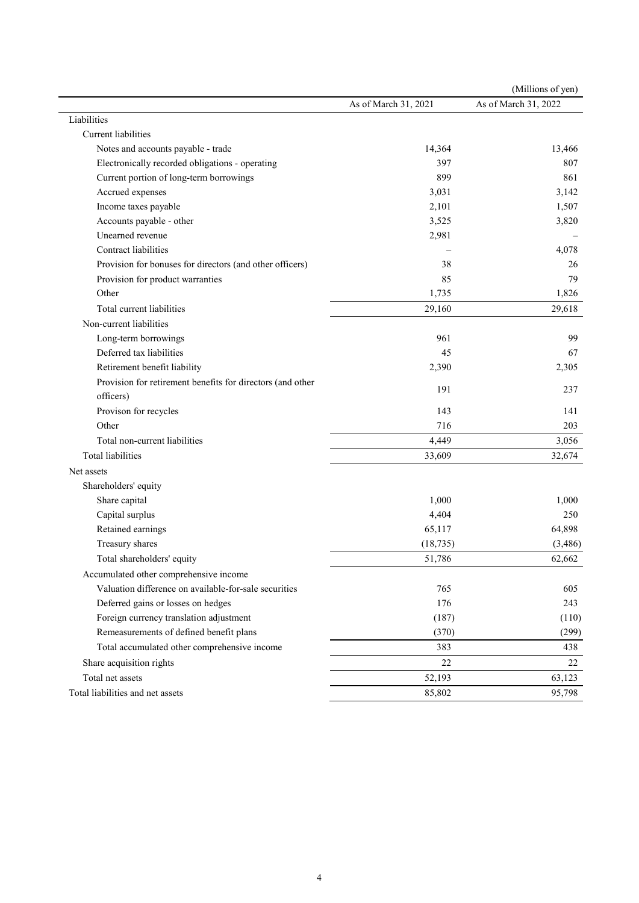|                                                            |                      | (Millions of yen)    |
|------------------------------------------------------------|----------------------|----------------------|
|                                                            | As of March 31, 2021 | As of March 31, 2022 |
| Liabilities                                                |                      |                      |
| Current liabilities                                        |                      |                      |
| Notes and accounts payable - trade                         | 14,364               | 13,466               |
| Electronically recorded obligations - operating            | 397                  | 807                  |
| Current portion of long-term borrowings                    | 899                  | 861                  |
| Accrued expenses                                           | 3,031                | 3,142                |
| Income taxes payable                                       | 2,101                | 1,507                |
| Accounts payable - other                                   | 3,525                | 3,820                |
| Unearned revenue                                           | 2,981                |                      |
| Contract liabilities                                       |                      | 4,078                |
| Provision for bonuses for directors (and other officers)   | 38                   | 26                   |
| Provision for product warranties                           | 85                   | 79                   |
| Other                                                      | 1,735                | 1,826                |
| Total current liabilities                                  | 29,160               | 29,618               |
| Non-current liabilities                                    |                      |                      |
| Long-term borrowings                                       | 961                  | 99                   |
| Deferred tax liabilities                                   | 45                   | 67                   |
| Retirement benefit liability                               | 2,390                | 2,305                |
| Provision for retirement benefits for directors (and other |                      |                      |
| officers)                                                  | 191                  | 237                  |
| Provison for recycles                                      | 143                  | 141                  |
| Other                                                      | 716                  | 203                  |
| Total non-current liabilities                              | 4,449                | 3,056                |
| Total liabilities                                          | 33,609               | 32,674               |
| Net assets                                                 |                      |                      |
| Shareholders' equity                                       |                      |                      |
| Share capital                                              | 1,000                | 1,000                |
| Capital surplus                                            | 4,404                | 250                  |
| Retained earnings                                          | 65,117               | 64,898               |
| Treasury shares                                            | (18, 735)            | (3,486)              |
| Total shareholders' equity                                 | 51,786               | 62,662               |
| Accumulated other comprehensive income                     |                      |                      |
| Valuation difference on available-for-sale securities      | 765                  | 605                  |
| Deferred gains or losses on hedges                         | 176                  | 243                  |
| Foreign currency translation adjustment                    | (187)                | (110)                |
| Remeasurements of defined benefit plans                    | (370)                | (299)                |
| Total accumulated other comprehensive income               | 383                  | 438                  |
| Share acquisition rights                                   | 22                   | 22                   |
| Total net assets                                           | 52,193               | 63,123               |
| Total liabilities and net assets                           | 85,802               | 95,798               |
|                                                            |                      |                      |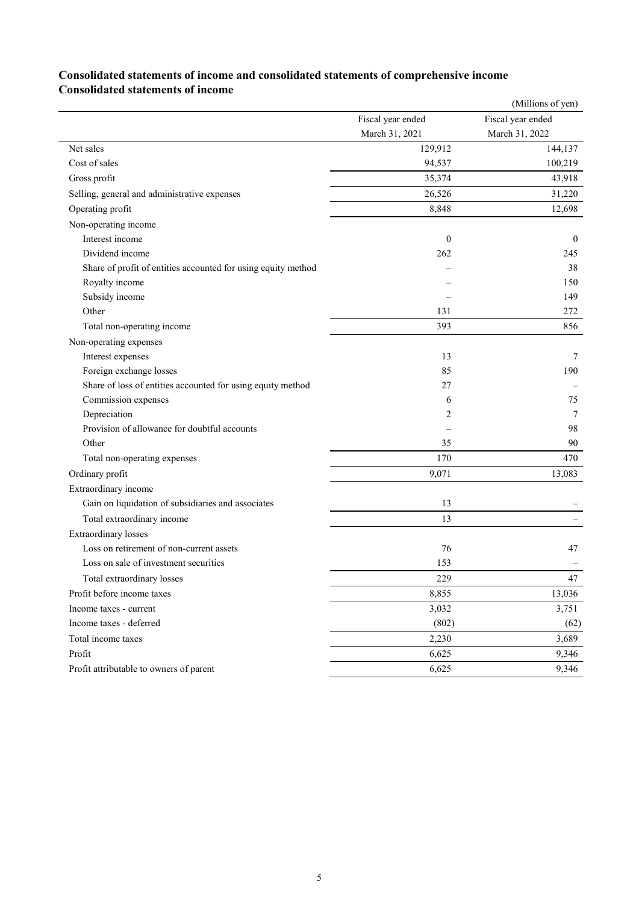## **Consolidated statements of income and consolidated statements of comprehensive income Consolidated statements of income**

|                                                               |                   | (Millions of yen) |
|---------------------------------------------------------------|-------------------|-------------------|
|                                                               | Fiscal year ended | Fiscal year ended |
|                                                               | March 31, 2021    | March 31, 2022    |
| Net sales                                                     | 129,912           | 144,137           |
| Cost of sales                                                 | 94,537            | 100,219           |
| Gross profit                                                  | 35,374            | 43,918            |
| Selling, general and administrative expenses                  | 26,526            | 31,220            |
| Operating profit                                              | 8,848             | 12,698            |
| Non-operating income                                          |                   |                   |
| Interest income                                               | $\mathbf{0}$      | $\theta$          |
| Dividend income                                               | 262               | 245               |
| Share of profit of entities accounted for using equity method |                   | 38                |
| Royalty income                                                |                   | 150               |
| Subsidy income                                                |                   | 149               |
| Other                                                         | 131               | 272               |
| Total non-operating income                                    | 393               | 856               |
| Non-operating expenses                                        |                   |                   |
| Interest expenses                                             | 13                | 7                 |
| Foreign exchange losses                                       | 85                | 190               |
| Share of loss of entities accounted for using equity method   | 27                |                   |
| Commission expenses                                           | 6                 | 75                |
| Depreciation                                                  | 2                 | 7                 |
| Provision of allowance for doubtful accounts                  |                   | 98                |
| Other                                                         | 35                | 90                |
| Total non-operating expenses                                  | 170               | 470               |
| Ordinary profit                                               | 9,071             | 13,083            |
| Extraordinary income                                          |                   |                   |
| Gain on liquidation of subsidiaries and associates            | 13                |                   |
| Total extraordinary income                                    | 13                |                   |
| <b>Extraordinary losses</b>                                   |                   |                   |
| Loss on retirement of non-current assets                      | 76                | 47                |
| Loss on sale of investment securities                         | 153               |                   |
| Total extraordinary losses                                    | 229               | 47                |
| Profit before income taxes                                    | 8.855             | 13,036            |
| Income taxes - current                                        | 3,032             | 3,751             |
| Income taxes - deferred                                       | (802)             | (62)              |
| Total income taxes                                            | 2,230             | 3,689             |
| Profit                                                        | 6,625             | 9,346             |
| Profit attributable to owners of parent                       | 6,625             | 9,346             |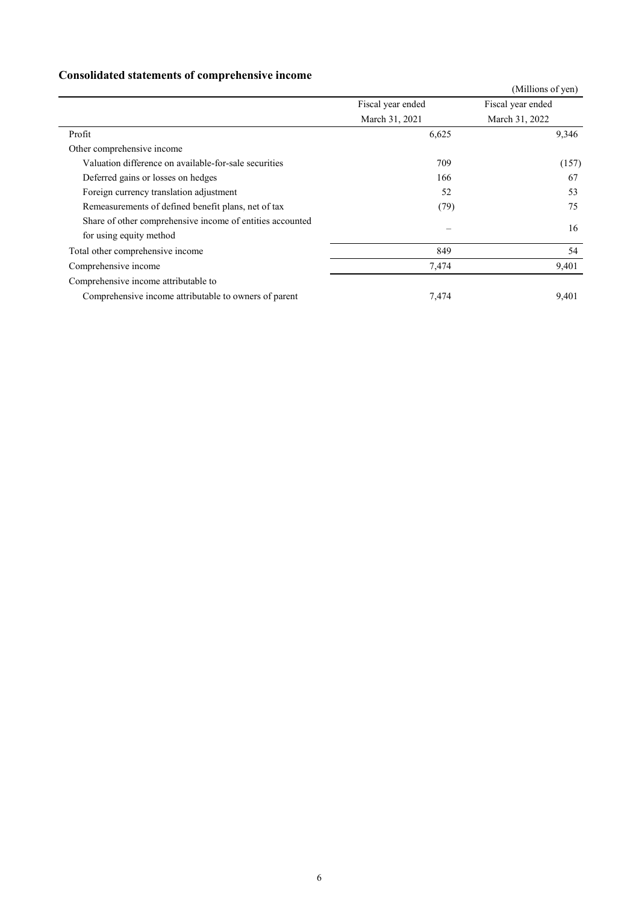# **Consolidated statements of comprehensive income**

|                                                           |                   | (Millions of yen) |
|-----------------------------------------------------------|-------------------|-------------------|
|                                                           | Fiscal year ended | Fiscal year ended |
|                                                           | March 31, 2021    | March 31, 2022    |
| Profit                                                    | 6,625             | 9,346             |
| Other comprehensive income                                |                   |                   |
| Valuation difference on available-for-sale securities     | 709               | (157)             |
| Deferred gains or losses on hedges                        | 166               | 67                |
| Foreign currency translation adjustment                   | 52                | 53                |
| Remeasurements of defined benefit plans, net of tax       | (79)              | 75                |
| Share of other comprehensive income of entities accounted |                   | 16                |
| for using equity method                                   |                   |                   |
| Total other comprehensive income                          | 849               | 54                |
| Comprehensive income                                      | 7,474             | 9,401             |
| Comprehensive income attributable to                      |                   |                   |
| Comprehensive income attributable to owners of parent     | 7,474             | 9,401             |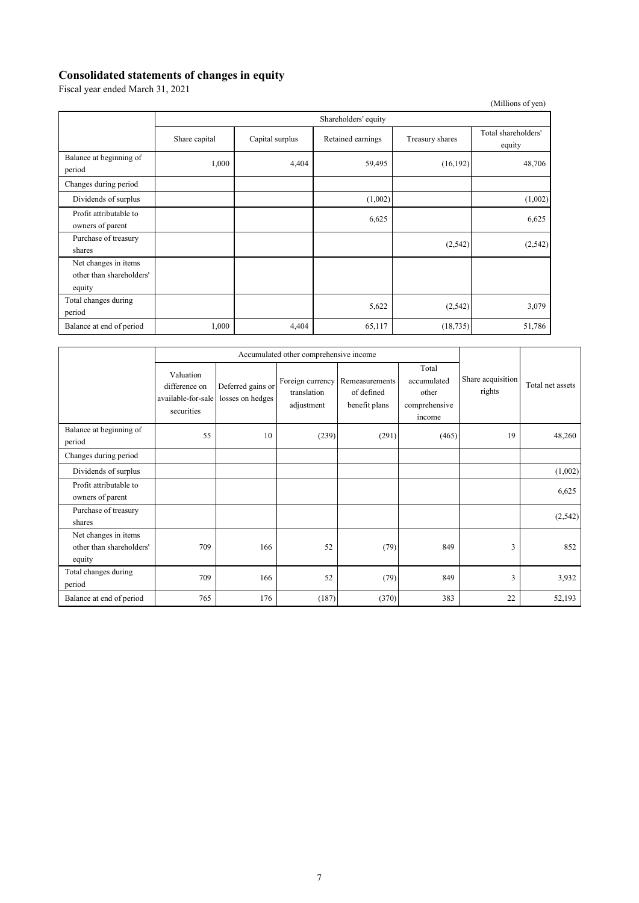### **Consolidated statements of changes in equity**

Fiscal year ended March 31, 2021

|                                                            |                      |                 |                   |                 | (Millions of yen)             |  |  |
|------------------------------------------------------------|----------------------|-----------------|-------------------|-----------------|-------------------------------|--|--|
|                                                            | Shareholders' equity |                 |                   |                 |                               |  |  |
|                                                            | Share capital        | Capital surplus | Retained earnings | Treasury shares | Total shareholders'<br>equity |  |  |
| Balance at beginning of<br>period                          | 1,000                | 4,404           | 59,495            | (16, 192)       | 48,706                        |  |  |
| Changes during period                                      |                      |                 |                   |                 |                               |  |  |
| Dividends of surplus                                       |                      |                 | (1,002)           |                 | (1,002)                       |  |  |
| Profit attributable to<br>owners of parent                 |                      |                 | 6,625             |                 | 6,625                         |  |  |
| Purchase of treasury<br>shares                             |                      |                 |                   | (2,542)         | (2, 542)                      |  |  |
| Net changes in items<br>other than shareholders'<br>equity |                      |                 |                   |                 |                               |  |  |
| Total changes during<br>period                             |                      |                 | 5,622             | (2, 542)        | 3,079                         |  |  |
| Balance at end of period                                   | 1,000                | 4,404           | 65,117            | (18, 735)       | 51,786                        |  |  |

|                                                            | Accumulated other comprehensive income                         |                                       |                                               |                                               |                                                          |                             |                  |
|------------------------------------------------------------|----------------------------------------------------------------|---------------------------------------|-----------------------------------------------|-----------------------------------------------|----------------------------------------------------------|-----------------------------|------------------|
|                                                            | Valuation<br>difference on<br>available-for-sale<br>securities | Deferred gains or<br>losses on hedges | Foreign currency<br>translation<br>adjustment | Remeasurements<br>of defined<br>benefit plans | Total<br>accumulated<br>other<br>comprehensive<br>income | Share acquisition<br>rights | Total net assets |
| Balance at beginning of<br>period                          | 55                                                             | 10                                    | (239)                                         | (291)                                         | (465)                                                    | 19                          | 48,260           |
| Changes during period                                      |                                                                |                                       |                                               |                                               |                                                          |                             |                  |
| Dividends of surplus                                       |                                                                |                                       |                                               |                                               |                                                          |                             | (1,002)          |
| Profit attributable to<br>owners of parent                 |                                                                |                                       |                                               |                                               |                                                          |                             | 6,625            |
| Purchase of treasury<br>shares                             |                                                                |                                       |                                               |                                               |                                                          |                             | (2,542)          |
| Net changes in items<br>other than shareholders'<br>equity | 709                                                            | 166                                   | 52                                            | (79)                                          | 849                                                      | 3                           | 852              |
| Total changes during<br>period                             | 709                                                            | 166                                   | 52                                            | (79)                                          | 849                                                      | $\overline{3}$              | 3,932            |
| Balance at end of period                                   | 765                                                            | 176                                   | (187)                                         | (370)                                         | 383                                                      | 22                          | 52,193           |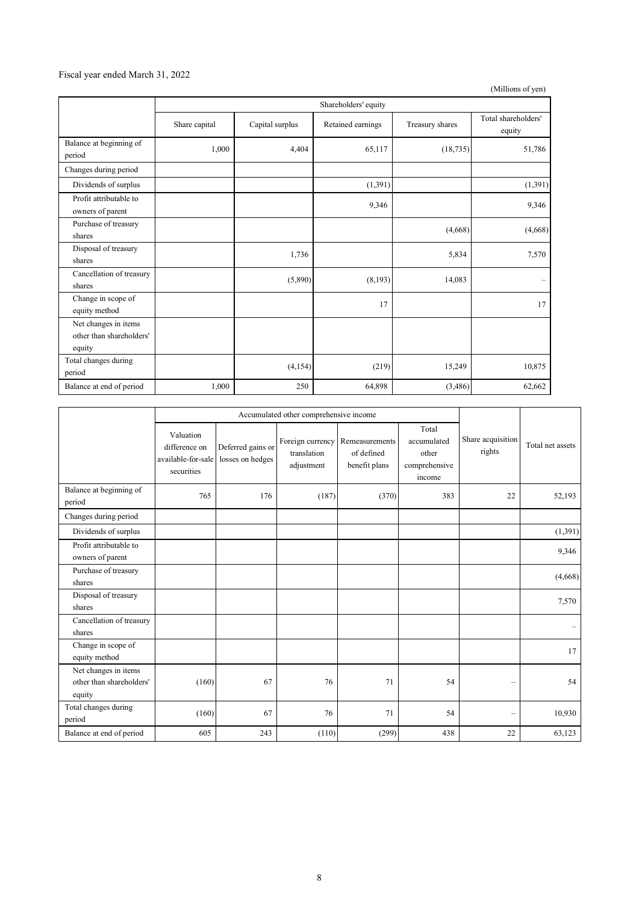### Fiscal year ended March 31, 2022

(Millions of yen)

|                                                            | Shareholders' equity |                 |                   |                 |                               |  |
|------------------------------------------------------------|----------------------|-----------------|-------------------|-----------------|-------------------------------|--|
|                                                            | Share capital        | Capital surplus | Retained earnings | Treasury shares | Total shareholders'<br>equity |  |
| Balance at beginning of<br>period                          | 1,000                | 4,404           | 65,117            | (18, 735)       | 51,786                        |  |
| Changes during period                                      |                      |                 |                   |                 |                               |  |
| Dividends of surplus                                       |                      |                 | (1,391)           |                 | (1, 391)                      |  |
| Profit attributable to<br>owners of parent                 |                      |                 | 9,346             |                 | 9,346                         |  |
| Purchase of treasury<br>shares                             |                      |                 |                   | (4,668)         | (4,668)                       |  |
| Disposal of treasury<br>shares                             |                      | 1,736           |                   | 5,834           | 7,570                         |  |
| Cancellation of treasury<br>shares                         |                      | (5,890)         | (8,193)           | 14,083          | $\overline{\phantom{m}}$      |  |
| Change in scope of<br>equity method                        |                      |                 | 17                |                 | 17                            |  |
| Net changes in items<br>other than shareholders'<br>equity |                      |                 |                   |                 |                               |  |
| Total changes during<br>period                             |                      | (4,154)         | (219)             | 15,249          | 10,875                        |  |
| Balance at end of period                                   | 1,000                | 250             | 64,898            | (3,486)         | 62,662                        |  |

|                                                            | Accumulated other comprehensive income                         |                                       |                           |                                                                |                                                          |                             |                  |
|------------------------------------------------------------|----------------------------------------------------------------|---------------------------------------|---------------------------|----------------------------------------------------------------|----------------------------------------------------------|-----------------------------|------------------|
|                                                            | Valuation<br>difference on<br>available-for-sale<br>securities | Deferred gains or<br>losses on hedges | translation<br>adjustment | Foreign currency Remeasurements<br>of defined<br>benefit plans | Total<br>accumulated<br>other<br>comprehensive<br>income | Share acquisition<br>rights | Total net assets |
| Balance at beginning of<br>period                          | 765                                                            | 176                                   | (187)                     | (370)                                                          | 383                                                      | 22                          | 52,193           |
| Changes during period                                      |                                                                |                                       |                           |                                                                |                                                          |                             |                  |
| Dividends of surplus                                       |                                                                |                                       |                           |                                                                |                                                          |                             | (1,391)          |
| Profit attributable to<br>owners of parent                 |                                                                |                                       |                           |                                                                |                                                          |                             | 9,346            |
| Purchase of treasury<br>shares                             |                                                                |                                       |                           |                                                                |                                                          |                             | (4,668)          |
| Disposal of treasury<br>shares                             |                                                                |                                       |                           |                                                                |                                                          |                             | 7,570            |
| Cancellation of treasury<br>shares                         |                                                                |                                       |                           |                                                                |                                                          |                             |                  |
| Change in scope of<br>equity method                        |                                                                |                                       |                           |                                                                |                                                          |                             | 17               |
| Net changes in items<br>other than shareholders'<br>equity | (160)                                                          | 67                                    | 76                        | 71                                                             | 54                                                       |                             | 54               |
| Total changes during<br>period                             | (160)                                                          | 67                                    | 76                        | 71                                                             | 54                                                       |                             | 10,930           |
| Balance at end of period                                   | 605                                                            | 243                                   | (110)                     | (299)                                                          | 438                                                      | 22                          | 63,123           |